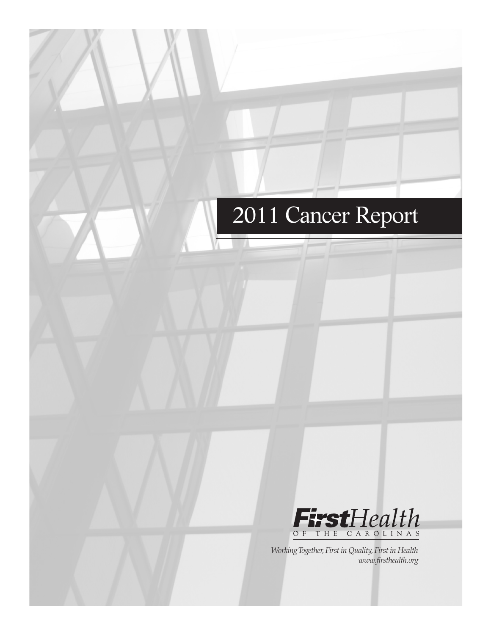# 2011 Cancer Report



*Working Together, First in Quality, First in Health www.firsthealth.org*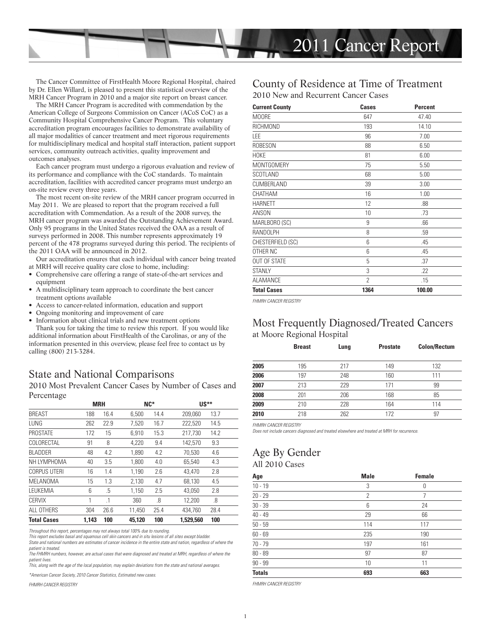

The Cancer Committee of FirstHealth Moore Regional Hospital, chaired by Dr. Ellen Willard, is pleased to present this statistical overview of the MRH Cancer Program in 2010 and a major site report on breast cancer.

The MRH Cancer Program is accredited with commendation by the American College of Surgeons Commission on Cancer (ACoS CoC) as a Community Hospital Comprehensive Cancer Program. This voluntary accreditation program encourages facilities to demonstrate availability of all major modalities of cancer treatment and meet rigorous requirements for multidisciplinary medical and hospital staff interaction, patient support services, community outreach activities, quality improvement and outcomes analyses.

Each cancer program must undergo a rigorous evaluation and review of its performance and compliance with the CoC standards. To maintain accreditation, facilities with accredited cancer programs must undergo an on-site review every three years.

The most recent on-site review of the MRH cancer program occurred in May 2011. We are pleased to report that the program received a full accreditation with Commendation. As a result of the 2008 survey, the MRH cancer program was awarded the Outstanding Achievement Award. Only 95 programs in the United States received the OAA as a result of surveys performed in 2008. This number represents approximately 19 percent of the 478 programs surveyed during this period. The recipients of the 2011 OAA will be announced in 2012.

Our accreditation ensures that each individual with cancer being treated at MRH will receive quality care close to home, including:

- Comprehensive care offering a range of state-of-the-art services and equipment
- A multidisciplinary team approach to coordinate the best cancer treatment options available
- Access to cancer-related information, education and support
- Ongoing monitoring and improvement of care
- Information about clinical trials and new treatment options

Thank you for taking the time to review this report. If you would like additional information about FirstHealth of the Carolinas, or any of the information presented in this overview, please feel free to contact us by calling (800) 213-3284.

### State and National Comparisons

2010 Most Prevalent Cancer Cases by Number of Cases and Percentage

|                     |       | <b>MRH</b> |        | $NC*$ |           | $US**$ |  |
|---------------------|-------|------------|--------|-------|-----------|--------|--|
| <b>BREAST</b>       | 188   | 16.4       | 6,500  | 14.4  | 209,060   | 13.7   |  |
| LUNG                | 262   | 22.9       | 7,520  | 16.7  | 222,520   | 14.5   |  |
| <b>PROSTATE</b>     | 172   | 15         | 6,910  | 15.3  | 217,730   | 14.2   |  |
| COLORECTAL          | 91    | 8          | 4,220  | 9.4   | 142,570   | 9.3    |  |
| <b>BLADDER</b>      | 48    | 4.2        | 1.890  | 4.2   | 70,530    | 4.6    |  |
| NH LYMPHOMA         | 40    | 3.5        | 1,800  | 4.0   | 65,540    | 4.3    |  |
| <b>CORPUS UTERI</b> | 16    | 1.4        | 1.190  | 2.6   | 43,470    | 2.8    |  |
| MELANOMA            | 15    | 1.3        | 2,130  | 4.7   | 68,130    | 4.5    |  |
| LEUKEMIA            | 6     | .5         | 1,150  | 2.5   | 43,050    | 2.8    |  |
| <b>CERVIX</b>       | 1     | $\cdot$ 1  | 360    | .8    | 12,200    | .8     |  |
| ALL OTHERS          | 304   | 26.6       | 11,450 | 25.4  | 434.760   | 28.4   |  |
| <b>Total Cases</b>  | 1.143 | 100        | 45.120 | 100   | 1.529.560 | 100    |  |

Throughout this report, percentages may not always total 100% due to rounding.

This report excludes basal and squamous cell skin cancers and in situ lesions of all sites except bladder. State and national numbers are estimates of cancer incidence in the entire state and nation, regardless of where the

patient is treated. The FHMRH numbers, however, are actual cases that were diagnosed and treated at MRH, regardless of where the

patient lives. This, along with the age of the local population, may explain deviations from the state and national averages.

\*American Cancer Society, 2010 Cancer Statistics, Estimated new cases.

FHMRH CANCER REGISTRY

#### County of Residence at Time of Treatment 2010 New and Recurrent Cancer Cases

| <b>Current County</b> | <b>Cases</b>   | <b>Percent</b> |
|-----------------------|----------------|----------------|
| M00RE                 | 647            | 47.40          |
| RICHMOND              | 193            | 14.10          |
| LEE                   | 96             | 7.00           |
| ROBESON               | 88             | 6.50           |
| <b>HOKE</b>           | 81             | 6.00           |
| MONTGOMERY            | 75             | 5.50           |
| SCOTLAND              | 68             | 5.00           |
| CUMBERLAND            | 39             | 3.00           |
| CHATHAM               | 16             | 1.00           |
| <b>HARNETT</b>        | 12             | .88            |
| <b>ANSON</b>          | 10             | .73            |
| MARLBORO (SC)         | 9              | .66            |
| RANDOLPH              | 8              | .59            |
| CHESTERFIELD (SC)     | 6              | .45            |
| OTHER NC              | 6              | .45            |
| <b>OUT OF STATE</b>   | 5              | .37            |
| <b>STANLY</b>         | 3              | .22            |
| <b>ALAMANCE</b>       | $\overline{2}$ | .15            |
| <b>Total Cases</b>    | 1364           | 100.00         |

FHMRH CANCER REGISTRY

#### Most Frequently Diagnosed/Treated Cancers at Moore Regional Hospital

|      | <b>Breast</b> | Lung | <b>Prostate</b> | <b>Colon/Rectum</b> |
|------|---------------|------|-----------------|---------------------|
| 2005 | 195           | 217  | 149             | 132                 |
| 2006 | 197           | 248  | 160             | 111                 |
| 2007 | 213           | 229  | 171             | 99                  |
| 2008 | 201           | 206  | 168             | 85                  |
| 2009 | 210           | 228  | 164             | 114                 |
| 2010 | 218           | 262  | 172             | 97                  |

FHMRH CANCER REGISTRY

Does not include cancers diagnosed and treated elsewhere and treated at MRH for recurrence.

# Age By Gender

|  | All 2010 Cases |
|--|----------------|
|  |                |

| Age           | <b>Male</b>    | <b>Female</b> |
|---------------|----------------|---------------|
| $10 - 19$     | 3              | 0             |
| $20 - 29$     | $\overline{2}$ | 7             |
| $30 - 39$     | 6              | 24            |
| $40 - 49$     | 29             | 66            |
| $50 - 59$     | 114            | 117           |
| $60 - 69$     | 235            | 190           |
| $70 - 79$     | 197            | 161           |
| $80 - 89$     | 97             | 87            |
| $90 - 99$     | 10             | 11            |
| <b>Totals</b> | 693            | 663           |

FHMRH CANCER REGISTRY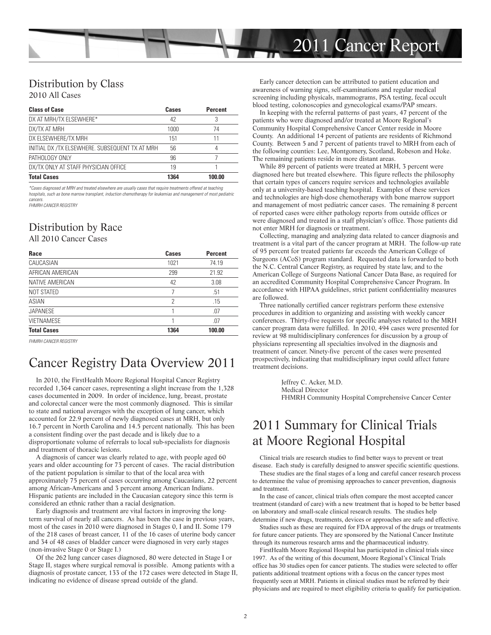

#### Distribution by Class

2010 All Cases

| <b>Class of Case</b>                           | Cases | <b>Percent</b> |
|------------------------------------------------|-------|----------------|
| DX AT MRH/TX ELSEWHERE*                        | 42    | 3              |
| DX/TX AT MRH                                   | 1000  | 74             |
| DX ELSEWHERE/TX MRH                            | 151   | 11             |
| INITIAL DX /TX ELSEWHERE, SUBSEQUENT TX AT MRH | 56    | 4              |
| PATHOLOGY ONLY                                 | 96    |                |
| DX/TX ONLY AT STAFF PHYSICIAN OFFICE           | 19    |                |
| <b>Total Cases</b>                             | 1364  | 100.00         |

\*Cases diagnosed at MRH and treated elsewhere are usually cases that require treatments offered at teaching hospitals, such as bone marrow transplant, induction chemotherapy for leukemias and management of most pediatric cancers. FHMRH CANCER REGISTRY

## Distribution by Race

All 2010 Cancer Cases

| Race               | <b>Cases</b> | <b>Percent</b> |  |
|--------------------|--------------|----------------|--|
| CAUCASIAN          | 1021         | 74.19          |  |
| AFRICAN AMERICAN   | 299          | 21.92          |  |
| NATIVE AMERICAN    | 42           | 3.08           |  |
| <b>NOT STATED</b>  | 7            | .51            |  |
| ASIAN              | 2            | .15            |  |
| <b>JAPANESE</b>    |              | .07            |  |
| <b>VIETNAMESE</b>  |              | .07            |  |
| <b>Total Cases</b> | 1364         | 100.00         |  |

FHMRH CANCER REGISTRY

## Cancer Registry Data Overview 2011

In 2010, the FirstHealth Moore Regional Hospital Cancer Registry recorded 1,364 cancer cases, representing a slight increase from the 1,328 cases documented in 2009. In order of incidence, lung, breast, prostate and colorectal cancer were the most commonly diagnosed. This is similar to state and national averages with the exception of lung cancer, which accounted for 22.9 percent of newly diagnosed cases at MRH, but only 16.7 percent in North Carolina and 14.5 percent nationally. This has been a consistent finding over the past decade and is likely due to a disproportionate volume of referrals to local sub-specialists for diagnosis and treatment of thoracic lesions.

A diagnosis of cancer was clearly related to age, with people aged 60 years and older accounting for 73 percent of cases. The racial distribution of the patient population is similar to that of the local area with approximately 75 percent of cases occurring among Caucasians, 22 percent among African-Americans and 3 percent among American Indians. Hispanic patients are included in the Caucasian category since this term is considered an ethnic rather than a racial designation.

Early diagnosis and treatment are vital factors in improving the longterm survival of nearly all cancers. As has been the case in previous years, most of the cases in 2010 were diagnosed in Stages 0, I and II. Some 179 of the 218 cases of breast cancer, 11 of the 16 cases of uterine body cancer and 34 of 48 cases of bladder cancer were diagnosed in very early stages (non-invasive Stage 0 or Stage I.)

Of the 262 lung cancer cases diagnosed, 80 were detected in Stage I or Stage II, stages where surgical removal is possible. Among patients with a diagnosis of prostate cancer, 133 of the 172 cases were detected in Stage II, indicating no evidence of disease spread outside of the gland.

Early cancer detection can be attributed to patient education and awareness of warning signs, self-examinations and regular medical screening including physicals, mammograms, PSA testing, fecal occult blood testing, colonoscopies and gynecological exams/PAP smears.

In keeping with the referral patterns of past years, 47 percent of the patients who were diagnosed and/or treated at Moore Regional's Community Hospital Comprehensive Cancer Center reside in Moore County. An additional 14 percent of patients are residents of Richmond County. Between 5 and 7 percent of patients travel to MRH from each of the following counties: Lee, Montgomery, Scotland, Robeson and Hoke. The remaining patients reside in more distant areas.

While 89 percent of patients were treated at MRH, 3 percent were diagnosed here but treated elsewhere. This figure reflects the philosophy that certain types of cancers require services and technologies available only at a university-based teaching hospital. Examples of these services and technologies are high-dose chemotherapy with bone marrow support and management of most pediatric cancer cases. The remaining 8 percent of reported cases were either pathology reports from outside offices or were diagnosed and treated in a staff physician's office. Those patients did not enter MRH for diagnosis or treatment.

Collecting, managing and analyzing data related to cancer diagnosis and treatment is a vital part of the cancer program at MRH. The follow-up rate of 95 percent for treated patients far exceeds the American College of Surgeons (ACoS) program standard. Requested data is forwarded to both the N.C. Central Cancer Registry, as required by state law, and to the American College of Surgeons National Cancer Data Base, as required for an accredited Community Hospital Comprehensive Cancer Program. In accordance with HIPAA guidelines, strict patient confidentiality measures are followed.

Three nationally certified cancer registrars perform these extensive procedures in addition to organizing and assisting with weekly cancer conferences. Thirty-five requests for specific analyses related to the MRH cancer program data were fulfilled. In 2010, 494 cases were presented for review at 98 multidisciplinary conferences for discussion by a group of physicians representing all specialties involved in the diagnosis and treatment of cancer. Ninety-five percent of the cases were presented prospectively, indicating that multidisciplinary input could affect future treatment decisions.

> Jeffrey C. Acker, M.D. Medical Director FHMRH Community Hospital Comprehensive Cancer Center

## 2011 Summary for Clinical Trials at Moore Regional Hospital

Clinical trials are research studies to find better ways to prevent or treat

disease. Each study is carefully designed to answer specific scientific questions. These studies are the final stages of a long and careful cancer research process to determine the value of promising approaches to cancer prevention, diagnosis and treatment.

In the case of cancer, clinical trials often compare the most accepted cancer treatment (standard of care) with a new treatment that is hoped to be better based on laboratory and small-scale clinical research results. The studies help determine if new drugs, treatments, devices or approaches are safe and effective.

Studies such as these are required for FDA approval of the drugs or treatments for future cancer patients. They are sponsored by the National Cancer Institute through its numerous research arms and the pharmaceutical industry.

FirstHealth Moore Regional Hospital has participated in clinical trials since 1997. As of the writing of this document, Moore Regional's Clinical Trials office has 30 studies open for cancer patients. The studies were selected to offer patients additional treatment options with a focus on the cancer types most frequently seen at MRH. Patients in clinical studies must be referred by their physicians and are required to meet eligibility criteria to qualify for participation.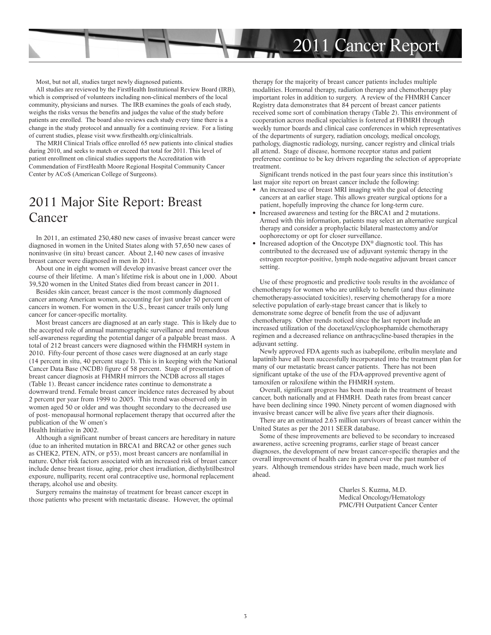

Most, but not all, studies target newly diagnosed patients.

All studies are reviewed by the FirstHealth Institutional Review Board (IRB), which is comprised of volunteers including non-clinical members of the local community, physicians and nurses. The IRB examines the goals of each study, weighs the risks versus the benefits and judges the value of the study before patients are enrolled. The board also reviews each study every time there is a change in the study protocol and annually for a continuing review. For a listing of current studies, please visit www.firsthealth.org/clinicaltrials.

The MRH Clinical Trials office enrolled 65 new patients into clinical studies during 2010, and seeks to match or exceed that total for 2011. This level of patient enrollment on clinical studies supports the Accreditation with Commendation of FirstHealth Moore Regional Hospital Community Cancer Center by ACoS (American College of Surgeons).

## 2011 Major Site Report: Breast Cancer

In 2011, an estimated 230,480 new cases of invasive breast cancer were diagnosed in women in the United States along with 57,650 new cases of noninvasive (in situ) breast cancer. About 2,140 new cases of invasive breast cancer were diagnosed in men in 2011.

About one in eight women will develop invasive breast cancer over the course of their lifetime. A man's lifetime risk is about one in 1,000. About 39,520 women in the United States died from breast cancer in 2011.

Besides skin cancer, breast cancer is the most commonly diagnosed cancer among American women, accounting for just under 30 percent of cancers in women. For women in the U.S., breast cancer trails only lung cancer for cancer-specific mortality.

Most breast cancers are diagnosed at an early stage. This is likely due to the accepted role of annual mammographic surveillance and tremendous self-awareness regarding the potential danger of a palpable breast mass. A total of 212 breast cancers were diagnosed within the FHMRH system in 2010. Fifty-four percent of those cases were diagnosed at an early stage (14 percent in situ, 40 percent stage I). This is in keeping with the National Cancer Data Base (NCDB) figure of 58 percent. Stage of presentation of breast cancer diagnosis at FHMRH mirrors the NCDB across all stages (Table 1). Breast cancer incidence rates continue to demonstrate a downward trend. Female breast cancer incidence rates decreased by about 2 percent per year from 1999 to 2005. This trend was observed only in women aged 50 or older and was thought secondary to the decreased use of post- menopausal hormonal replacement therapy that occurred after the publication of the W omen's

Health Initiative in 2002.

Although a significant number of breast cancers are hereditary in nature (due to an inherited mutation in BRCA1 and BRCA2 or other genes such as CHEK2, PTEN, ATN, or p53), most breast cancers are nonfamilial in nature. Other risk factors associated with an increased risk of breast cancer include dense breast tissue, aging, prior chest irradiation, diethylstilbestrol exposure, nulliparity, recent oral contraceptive use, hormonal replacement therapy, alcohol use and obesity.

Surgery remains the mainstay of treatment for breast cancer except in those patients who present with metastatic disease. However, the optimal therapy for the majority of breast cancer patients includes multiple modalities. Hormonal therapy, radiation therapy and chemotherapy play important roles in addition to surgery. A review of the FHMRH Cancer Registry data demonstrates that 84 percent of breast cancer patients received some sort of combination therapy (Table 2). This environment of cooperation across medical specialties is fostered at FHMRH through weekly tumor boards and clinical case conferences in which representatives of the departments of surgery, radiation oncology, medical oncology, pathology, diagnostic radiology, nursing, cancer registry and clinical trials all attend. Stage of disease, hormone receptor status and patient preference continue to be key drivers regarding the selection of appropriate treatment.

Significant trends noticed in the past four years since this institution's last major site report on breast cancer include the following:

- An increased use of breast MRI imaging with the goal of detecting cancers at an earlier stage. This allows greater surgical options for a patient, hopefully improving the chance for long-term cure.
- Increased awareness and testing for the BRCA1 and 2 mutations. Armed with this information, patients may select an alternative surgical therapy and consider a prophylactic bilateral mastectomy and/or oophorectomy or opt for closer surveillance.
- Increased adoption of the Oncotype DX® diagnostic tool. This has contributed to the decreased use of adjuvant systemic therapy in the estrogen receptor-positive, lymph node-negative adjuvant breast cancer setting.

Use of these prognostic and predictive tools results in the avoidance of chemotherapy for women who are unlikely to benefit (and thus eliminate chemotherapy-associated toxicities), reserving chemotherapy for a more selective population of early-stage breast cancer that is likely to demonstrate some degree of benefit from the use of adjuvant chemotherapy. Other trends noticed since the last report include an increased utilization of the docetaxel/cyclophosphamide chemotherapy regimen and a decreased reliance on anthracycline-based therapies in the adjuvant setting.

Newly approved FDA agents such as ixabepilone, eribulin mesylate and lapatinib have all been successfully incorporated into the treatment plan for many of our metastatic breast cancer patients. There has not been significant uptake of the use of the FDA-approved preventive agent of tamoxifen or raloxifene within the FHMRH system.

Overall, significant progress has been made in the treatment of breast cancer, both nationally and at FHMRH. Death rates from breast cancer have been declining since 1990. Ninety percent of women diagnosed with invasive breast cancer will be alive five years after their diagnosis.

There are an estimated 2.63 million survivors of breast cancer within the United States as per the 2011 SEER database.

Some of these improvements are believed to be secondary to increased awareness, active screening programs, earlier stage of breast cancer diagnoses, the development of new breast cancer-specific therapies and the overall improvement of health care in general over the past number of years. Although tremendous strides have been made, much work lies ahead.

> Charles S. Kuzma, M.D. Medical Oncology/Hematology PMC/FH Outpatient Cancer Center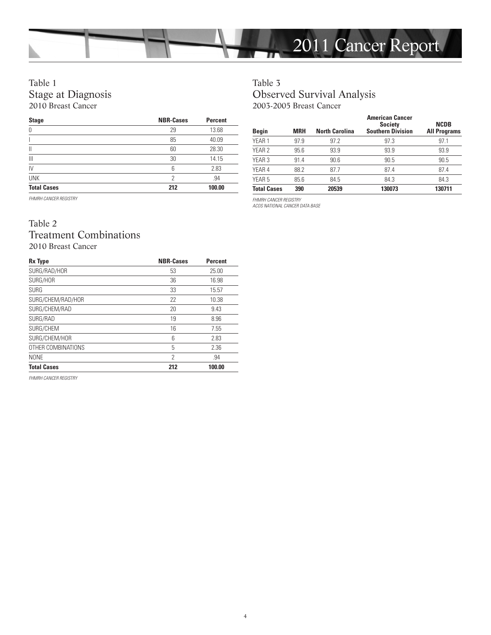

#### Table 1 Stage at Diagnosis 2010 Breast Cancer

| <b>Stage</b>       | <b>NBR-Cases</b> | <b>Percent</b> |
|--------------------|------------------|----------------|
| 0                  | 29               | 13.68          |
|                    | 85               | 40.09          |
| Ш                  | 60               | 28.30          |
| $\mathbf{III}$     | 30               | 14.15          |
| IV                 | 6                | 2.83           |
| <b>UNK</b>         | 2                | .94            |
| <b>Total Cases</b> | 212              | 100.00         |

FHMRH CANCER REGISTRY

#### Table 2 Treatment Combinations 2010 Breast Cancer

| Rx Type            | <b>NBR-Cases</b> | <b>Percent</b> |
|--------------------|------------------|----------------|
| SURG/RAD/HOR       | 53               | 25.00          |
| SURG/HOR           | 36               | 16.98          |
| <b>SURG</b>        | 33               | 15.57          |
| SURG/CHEM/RAD/HOR  | 22               | 10.38          |
| SURG/CHEM/RAD      | 20               | 9.43           |
| SURG/RAD           | 19               | 8.96           |
| SURG/CHEM          | 16               | 7.55           |
| SURG/CHEM/HOR      | 6                | 2.83           |
| OTHER COMBINATIONS | 5                | 2.36           |
| <b>NONE</b>        | 2                | .94            |
| <b>Total Cases</b> | 212              | 100.00         |

FHMRH CANCER REGISTRY

## Table 3 Observed Survival Analysis 2003-2005 Breast Cancer

| <b>Begin</b>       | <b>MRH</b> | <b>North Carolina</b> | <b>American Cancer</b><br><b>Society</b><br><b>Southern Division</b> | <b>NCDB</b><br><b>All Programs</b> |
|--------------------|------------|-----------------------|----------------------------------------------------------------------|------------------------------------|
| YEAR <sub>1</sub>  | 97.9       | 97.2                  | 97.3                                                                 | 97.1                               |
| YEAR <sub>2</sub>  | 95.6       | 93.9                  | 93.9                                                                 | 93.9                               |
| YEAR <sub>3</sub>  | 91.4       | 90.6                  | 90.5                                                                 | 90.5                               |
| YEAR 4             | 88.2       | 87.7                  | 87.4                                                                 | 87.4                               |
| YEAR <sub>5</sub>  | 85.6       | 84.5                  | 84.3                                                                 | 84.3                               |
| <b>Total Cases</b> | 390        | 20539                 | 130073                                                               | 130711                             |

FHMRH CANCER REGISTRY

ACOS NATIONAL CANCER DATA BASE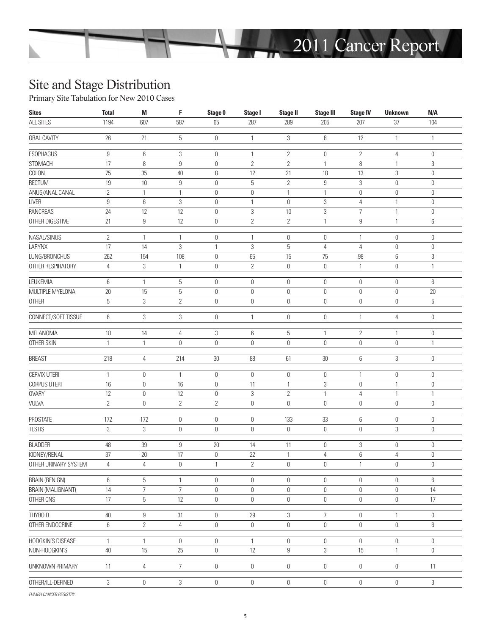

## Site and Stage Distribution

Primary Site Tabulation for New 2010 Cases

| ALL SITES<br>37<br>1194<br>607<br>587<br>65<br>287<br>289<br>205<br>207<br>104<br>$26\,$<br>$\mathbf 5$<br>3<br>8<br>ORAL CAVITY<br>21<br>$\mathbb O$<br>12<br>$\mathbf{1}$<br>$\mathbf{1}$<br>$\mathbf{1}$<br><b>ESOPHAGUS</b><br>9<br>6<br>3<br>$\mathbf{2}$<br>$\mathbb O$<br>$\mathbb O$<br>$\overline{2}$<br>4<br>$\mathbf 0$<br>$\mathbf{1}$<br>STOMACH<br>17<br>$\overline{2}$<br>$\overline{2}$<br>8<br>$\boldsymbol{9}$<br>8<br>3<br>$\mathbb O$<br>$\mathbf{1}$<br>$\mathbf{1}$<br>COLON<br>$75\,$<br>35<br>$40\,$<br>8<br>12<br>21<br>18<br>13<br>3<br>$\mathbf 0$<br>RECTUM<br>$19\,$<br>$10\,$<br>$\boldsymbol{9}$<br>5<br>$\mathbf{2}$<br>$\boldsymbol{9}$<br>3<br>$\mathbb O$<br>0<br>$\mathbf 0$<br>ANUS/ANAL CANAL<br>$\overline{2}$<br>$\mathbf{1}$<br>$\mathbb O$<br>0<br>$\mathbf{1}$<br>0<br>0<br>$\mathbf 0$<br>$\mathbf{1}$<br>$\mathbf{1}$<br><b>LIVER</b><br>9<br>6<br>3<br>$\mathbf 0$<br>3<br>$\mathbb O$<br>4<br>$\mathbf{1}$<br>$\mathbf 0$<br>$\mathbf{1}$<br><b>PANCREAS</b><br>24<br>12<br>12<br>3<br>3<br>$\overline{7}$<br>$\mathbb O$<br>10<br>$\mathbf{1}$<br>$\mathbf 0$<br>OTHER DIGESTIVE<br>21<br>9<br>$12\,$<br>$\mathbf{2}$<br>$\mathbf{2}$<br>9<br>$\mathbb O$<br>$\mathbf{1}$<br>$\mathbf{1}$<br>6<br>NASAL/SINUS<br>$\mathbf{2}$<br>$\mathbf{1}$<br>$\mathbf{1}$<br>$\mathbb O$<br>$\mathbb 0$<br>$\mathbb O$<br>$\mathbf 0$<br>$\mathbf{1}$<br>$\mathbf{1}$<br>$\mathbb O$<br>LARYNX<br>17<br>$\mathfrak{Z}$<br>$\sqrt{3}$<br>$\mathbf 5$<br>14<br>$\mathbf{1}$<br>$\overline{4}$<br>$\overline{4}$<br>$\mathbf 0$<br>$\mathbf{0}$<br>LUNG/BRONCHUS<br>262<br>154<br>108<br>$\mathbb O$<br>65<br>15<br>75<br>98<br>6<br>3<br>OTHER RESPIRATORY<br>4<br>3<br>$\mathbf{1}$<br>$\mathbb O$<br>$\overline{2}$<br>$\mathbb 0$<br>$\mathbf 0$<br>$\mathbf{0}$<br>$\mathbf{1}$<br>$\mathbf{1}$<br>LEUKEMIA<br>6<br>5<br>$\mathbb O$<br>$\mathbb 0$<br>6<br>$\mathbf{1}$<br>$\mathbb O$<br>$\mathbb O$<br>0<br>0<br>MULTIPLE MYELONA<br>$20\,$<br>15<br>5<br>$\mathbb O$<br>$\mathbb 0$<br>$\mathbb O$<br>$20\,$<br>$\mathbb O$<br>0<br>0<br>5<br>3<br>$\overline{2}$<br>OTHER<br>$\mathbb O$<br>$\mathbb O$<br>$\mathbb 0$<br>$\mathbb O$<br>$\mathbb O$<br>0<br>5<br>3<br>CONNECT/SOFT TISSUE<br>6<br>3<br>$\mathbb 0$<br>$\mathbb O$<br>$\mathbb O$<br>4<br>$\mathbb O$<br>$\mathbf{1}$<br>1<br><b>MELANOMA</b><br>$\mathbf 5$<br>$18\,$<br>14<br>$\sqrt{3}$<br>6<br>$\overline{2}$<br>$\mathbb O$<br>$\overline{4}$<br>$\mathbf{1}$<br>$\mathbf{1}$<br>OTHER SKIN<br>$\mathbb 0$<br>$\mathbb O$<br>$\mathbf 0$<br>$\mathbf 0$<br>$\mathbf 0$<br>$\mathbf 0$<br>$\mathbf{0}$<br>$\mathbf{1}$<br>$\mathbf{1}$<br>$\mathbf{1}$<br><b>BREAST</b><br>218<br>214<br>$30\,$<br>88<br>61<br>$30\,$<br>6<br>3<br>$\mathbf 0$<br>4<br><b>CERVIX UTERI</b><br>$\boldsymbol{0}$<br>$\mathbb 0$<br>$\mathbf{1}$<br>$\mathbb O$<br>$\mathbf 0$<br>$\mathbb O$<br>0<br>$\mathbb O$<br>$\mathbf{1}$<br>1<br>CORPUS UTERI<br>16<br>$\sqrt{3}$<br>0<br>16<br>$\mathbf 0$<br>0<br>11<br>$\mathbf{1}$<br>$\mathbf{1}$<br>0<br><b>OVARY</b><br>12<br>$\boldsymbol{0}$<br>3<br>$\mathbf{2}$<br>$12\,$<br>0<br>$\mathbf{1}$<br>4<br>$\mathbf{1}$<br>$\mathbf{1}$<br>VULVA<br>$\overline{2}$<br>$\boldsymbol{0}$<br>$\mathbf{2}$<br>$\mathbf{2}$<br>$\mathbf 0$<br>0<br>$\mathbb O$<br>0<br>0<br>$\mathbb O$<br>PROSTATE<br>172<br>172<br>$\mathbb 0$<br>$\mathbb O$<br>133<br>33<br>6<br>$\mathbb O$<br>$\mathbb O$<br>$\mathbb O$<br><b>TESTIS</b><br>3<br>3<br>$\mathbb 0$<br>$\mathbb 0$<br>$\mathbb O$<br>3<br>$\mathbb O$<br>0<br>$\mathbf 0$<br>$\mathbf 0$<br><b>BLADDER</b><br>39<br>48<br>9<br>20<br>14<br>11<br>$\mathbb O$<br>3<br>0<br>$\mathbb O$<br>KIDNEY/RENAL<br>37<br>20<br>17<br>$\mathbb O$<br>22<br>6<br>$\mathbf{1}$<br>$\overline{4}$<br>$\mathbb O$<br>4<br>$\sqrt{2}$<br>OTHER URINARY SYSTEM<br>$\sqrt{4}$<br>$\mathbb O$<br>$\mathbf{1}$<br>$\mathbb O$<br>0<br>$\mathbb O$<br>$\overline{4}$<br>$\mathbb O$<br>1<br><b>BRAIN (BENIGN)</b><br>6<br>5<br>$\mathbb O$<br>6<br>1<br>$\mathbb O$<br>$\mathbf 0$<br>$\mathbb O$<br>0<br>$\mathbb O$<br>$\overline{7}$<br>$\overline{7}$<br><b>BRAIN (MALIGNANT)</b><br>14<br>$\mathbb O$<br>$\mathbb O$<br>$\mathbb O$<br>$\mathbb O$<br>$\mathbb O$<br>14<br>0<br>5<br>OTHER CNS<br>17<br>12<br>$\mathbb O$<br>$\mathbb O$<br>$\mathbb 0$<br>$\mathbb O$<br>0<br>0<br>17<br>$\mathfrak{Z}$<br><b>THYROID</b><br>40<br>9<br>31<br>29<br>$\overline{7}$<br>$\mathbb O$<br>0<br>$\mathbf 0$<br>$\mathbf{1}$<br>OTHER ENDOCRINE<br>6<br>$\overline{2}$<br>$\overline{4}$<br>$\mathbb O$<br>$\mathbb O$<br>$\mathbb O$<br>$\mathbf 0$<br>0<br>0<br>6<br>HODGKIN'S DISEASE<br>$\mathbb 0$<br>$\mathbb O$<br>$\mathbb O$<br>$\mathbf{1}$<br>$\mathbf{1}$<br>$\mathbb O$<br>$\mathbf{1}$<br>$\mathbb O$<br>0<br>$\mathbf 0$<br>12<br>9<br>$\sqrt{3}$<br>40<br>15<br>25<br>$\mathbb O$<br>15<br>NON-HODGKIN'S<br>$\mathbf{1}$<br>$\mathbf 0$<br>$7\overline{ }$<br>$\mathbb O$<br>UNKNOWN PRIMARY<br>11<br>4<br>$\mathbb O$<br>0<br>$\mathbb O$<br>0<br>0<br>11<br>OTHER/ILL-DEFINED<br>3<br>$\mathbb O$<br>3<br>$\mathbb O$<br>$\mathbf 0$<br>$\mathbb 0$<br>3<br>0<br>0<br>0 | <b>Sites</b> | <b>Total</b> | M | F | Stage 0 | Stage I | <b>Stage II</b> | <b>Stage III</b> | <b>Stage IV</b> | <b>Unknown</b> | N/A |
|-----------------------------------------------------------------------------------------------------------------------------------------------------------------------------------------------------------------------------------------------------------------------------------------------------------------------------------------------------------------------------------------------------------------------------------------------------------------------------------------------------------------------------------------------------------------------------------------------------------------------------------------------------------------------------------------------------------------------------------------------------------------------------------------------------------------------------------------------------------------------------------------------------------------------------------------------------------------------------------------------------------------------------------------------------------------------------------------------------------------------------------------------------------------------------------------------------------------------------------------------------------------------------------------------------------------------------------------------------------------------------------------------------------------------------------------------------------------------------------------------------------------------------------------------------------------------------------------------------------------------------------------------------------------------------------------------------------------------------------------------------------------------------------------------------------------------------------------------------------------------------------------------------------------------------------------------------------------------------------------------------------------------------------------------------------------------------------------------------------------------------------------------------------------------------------------------------------------------------------------------------------------------------------------------------------------------------------------------------------------------------------------------------------------------------------------------------------------------------------------------------------------------------------------------------------------------------------------------------------------------------------------------------------------------------------------------------------------------------------------------------------------------------------------------------------------------------------------------------------------------------------------------------------------------------------------------------------------------------------------------------------------------------------------------------------------------------------------------------------------------------------------------------------------------------------------------------------------------------------------------------------------------------------------------------------------------------------------------------------------------------------------------------------------------------------------------------------------------------------------------------------------------------------------------------------------------------------------------------------------------------------------------------------------------------------------------------------------------------------------------------------------------------------------------------------------------------------------------------------------------------------------------------------------------------------------------------------------------------------------------------------------------------------------------------------------------------------------------------------------------------------------------------------------------------------------------------------------------------------------------------------------------------------------------------------------------------------------------------------------------------------------------------------------------------------------------------------------------------------------------------------------------------------------------------------------------------------------------------------------------------------------------------------------------------------------------------------------------------------------------------------------------------------------------------------------------------------------------------------------------------------------------------------------------------------------------------------------------------------------------------------------------------------------------------------------------------------------------------------------------------------------------------------------|--------------|--------------|---|---|---------|---------|-----------------|------------------|-----------------|----------------|-----|
|                                                                                                                                                                                                                                                                                                                                                                                                                                                                                                                                                                                                                                                                                                                                                                                                                                                                                                                                                                                                                                                                                                                                                                                                                                                                                                                                                                                                                                                                                                                                                                                                                                                                                                                                                                                                                                                                                                                                                                                                                                                                                                                                                                                                                                                                                                                                                                                                                                                                                                                                                                                                                                                                                                                                                                                                                                                                                                                                                                                                                                                                                                                                                                                                                                                                                                                                                                                                                                                                                                                                                                                                                                                                                                                                                                                                                                                                                                                                                                                                                                                                                                                                                                                                                                                                                                                                                                                                                                                                                                                                                                                                                                                                                                                                                                                                                                                                                                                                                                                                                                                                                                                                                                 |              |              |   |   |         |         |                 |                  |                 |                |     |
|                                                                                                                                                                                                                                                                                                                                                                                                                                                                                                                                                                                                                                                                                                                                                                                                                                                                                                                                                                                                                                                                                                                                                                                                                                                                                                                                                                                                                                                                                                                                                                                                                                                                                                                                                                                                                                                                                                                                                                                                                                                                                                                                                                                                                                                                                                                                                                                                                                                                                                                                                                                                                                                                                                                                                                                                                                                                                                                                                                                                                                                                                                                                                                                                                                                                                                                                                                                                                                                                                                                                                                                                                                                                                                                                                                                                                                                                                                                                                                                                                                                                                                                                                                                                                                                                                                                                                                                                                                                                                                                                                                                                                                                                                                                                                                                                                                                                                                                                                                                                                                                                                                                                                                 |              |              |   |   |         |         |                 |                  |                 |                |     |
|                                                                                                                                                                                                                                                                                                                                                                                                                                                                                                                                                                                                                                                                                                                                                                                                                                                                                                                                                                                                                                                                                                                                                                                                                                                                                                                                                                                                                                                                                                                                                                                                                                                                                                                                                                                                                                                                                                                                                                                                                                                                                                                                                                                                                                                                                                                                                                                                                                                                                                                                                                                                                                                                                                                                                                                                                                                                                                                                                                                                                                                                                                                                                                                                                                                                                                                                                                                                                                                                                                                                                                                                                                                                                                                                                                                                                                                                                                                                                                                                                                                                                                                                                                                                                                                                                                                                                                                                                                                                                                                                                                                                                                                                                                                                                                                                                                                                                                                                                                                                                                                                                                                                                                 |              |              |   |   |         |         |                 |                  |                 |                |     |
|                                                                                                                                                                                                                                                                                                                                                                                                                                                                                                                                                                                                                                                                                                                                                                                                                                                                                                                                                                                                                                                                                                                                                                                                                                                                                                                                                                                                                                                                                                                                                                                                                                                                                                                                                                                                                                                                                                                                                                                                                                                                                                                                                                                                                                                                                                                                                                                                                                                                                                                                                                                                                                                                                                                                                                                                                                                                                                                                                                                                                                                                                                                                                                                                                                                                                                                                                                                                                                                                                                                                                                                                                                                                                                                                                                                                                                                                                                                                                                                                                                                                                                                                                                                                                                                                                                                                                                                                                                                                                                                                                                                                                                                                                                                                                                                                                                                                                                                                                                                                                                                                                                                                                                 |              |              |   |   |         |         |                 |                  |                 |                |     |
|                                                                                                                                                                                                                                                                                                                                                                                                                                                                                                                                                                                                                                                                                                                                                                                                                                                                                                                                                                                                                                                                                                                                                                                                                                                                                                                                                                                                                                                                                                                                                                                                                                                                                                                                                                                                                                                                                                                                                                                                                                                                                                                                                                                                                                                                                                                                                                                                                                                                                                                                                                                                                                                                                                                                                                                                                                                                                                                                                                                                                                                                                                                                                                                                                                                                                                                                                                                                                                                                                                                                                                                                                                                                                                                                                                                                                                                                                                                                                                                                                                                                                                                                                                                                                                                                                                                                                                                                                                                                                                                                                                                                                                                                                                                                                                                                                                                                                                                                                                                                                                                                                                                                                                 |              |              |   |   |         |         |                 |                  |                 |                |     |
|                                                                                                                                                                                                                                                                                                                                                                                                                                                                                                                                                                                                                                                                                                                                                                                                                                                                                                                                                                                                                                                                                                                                                                                                                                                                                                                                                                                                                                                                                                                                                                                                                                                                                                                                                                                                                                                                                                                                                                                                                                                                                                                                                                                                                                                                                                                                                                                                                                                                                                                                                                                                                                                                                                                                                                                                                                                                                                                                                                                                                                                                                                                                                                                                                                                                                                                                                                                                                                                                                                                                                                                                                                                                                                                                                                                                                                                                                                                                                                                                                                                                                                                                                                                                                                                                                                                                                                                                                                                                                                                                                                                                                                                                                                                                                                                                                                                                                                                                                                                                                                                                                                                                                                 |              |              |   |   |         |         |                 |                  |                 |                |     |
|                                                                                                                                                                                                                                                                                                                                                                                                                                                                                                                                                                                                                                                                                                                                                                                                                                                                                                                                                                                                                                                                                                                                                                                                                                                                                                                                                                                                                                                                                                                                                                                                                                                                                                                                                                                                                                                                                                                                                                                                                                                                                                                                                                                                                                                                                                                                                                                                                                                                                                                                                                                                                                                                                                                                                                                                                                                                                                                                                                                                                                                                                                                                                                                                                                                                                                                                                                                                                                                                                                                                                                                                                                                                                                                                                                                                                                                                                                                                                                                                                                                                                                                                                                                                                                                                                                                                                                                                                                                                                                                                                                                                                                                                                                                                                                                                                                                                                                                                                                                                                                                                                                                                                                 |              |              |   |   |         |         |                 |                  |                 |                |     |
|                                                                                                                                                                                                                                                                                                                                                                                                                                                                                                                                                                                                                                                                                                                                                                                                                                                                                                                                                                                                                                                                                                                                                                                                                                                                                                                                                                                                                                                                                                                                                                                                                                                                                                                                                                                                                                                                                                                                                                                                                                                                                                                                                                                                                                                                                                                                                                                                                                                                                                                                                                                                                                                                                                                                                                                                                                                                                                                                                                                                                                                                                                                                                                                                                                                                                                                                                                                                                                                                                                                                                                                                                                                                                                                                                                                                                                                                                                                                                                                                                                                                                                                                                                                                                                                                                                                                                                                                                                                                                                                                                                                                                                                                                                                                                                                                                                                                                                                                                                                                                                                                                                                                                                 |              |              |   |   |         |         |                 |                  |                 |                |     |
|                                                                                                                                                                                                                                                                                                                                                                                                                                                                                                                                                                                                                                                                                                                                                                                                                                                                                                                                                                                                                                                                                                                                                                                                                                                                                                                                                                                                                                                                                                                                                                                                                                                                                                                                                                                                                                                                                                                                                                                                                                                                                                                                                                                                                                                                                                                                                                                                                                                                                                                                                                                                                                                                                                                                                                                                                                                                                                                                                                                                                                                                                                                                                                                                                                                                                                                                                                                                                                                                                                                                                                                                                                                                                                                                                                                                                                                                                                                                                                                                                                                                                                                                                                                                                                                                                                                                                                                                                                                                                                                                                                                                                                                                                                                                                                                                                                                                                                                                                                                                                                                                                                                                                                 |              |              |   |   |         |         |                 |                  |                 |                |     |
|                                                                                                                                                                                                                                                                                                                                                                                                                                                                                                                                                                                                                                                                                                                                                                                                                                                                                                                                                                                                                                                                                                                                                                                                                                                                                                                                                                                                                                                                                                                                                                                                                                                                                                                                                                                                                                                                                                                                                                                                                                                                                                                                                                                                                                                                                                                                                                                                                                                                                                                                                                                                                                                                                                                                                                                                                                                                                                                                                                                                                                                                                                                                                                                                                                                                                                                                                                                                                                                                                                                                                                                                                                                                                                                                                                                                                                                                                                                                                                                                                                                                                                                                                                                                                                                                                                                                                                                                                                                                                                                                                                                                                                                                                                                                                                                                                                                                                                                                                                                                                                                                                                                                                                 |              |              |   |   |         |         |                 |                  |                 |                |     |
|                                                                                                                                                                                                                                                                                                                                                                                                                                                                                                                                                                                                                                                                                                                                                                                                                                                                                                                                                                                                                                                                                                                                                                                                                                                                                                                                                                                                                                                                                                                                                                                                                                                                                                                                                                                                                                                                                                                                                                                                                                                                                                                                                                                                                                                                                                                                                                                                                                                                                                                                                                                                                                                                                                                                                                                                                                                                                                                                                                                                                                                                                                                                                                                                                                                                                                                                                                                                                                                                                                                                                                                                                                                                                                                                                                                                                                                                                                                                                                                                                                                                                                                                                                                                                                                                                                                                                                                                                                                                                                                                                                                                                                                                                                                                                                                                                                                                                                                                                                                                                                                                                                                                                                 |              |              |   |   |         |         |                 |                  |                 |                |     |
|                                                                                                                                                                                                                                                                                                                                                                                                                                                                                                                                                                                                                                                                                                                                                                                                                                                                                                                                                                                                                                                                                                                                                                                                                                                                                                                                                                                                                                                                                                                                                                                                                                                                                                                                                                                                                                                                                                                                                                                                                                                                                                                                                                                                                                                                                                                                                                                                                                                                                                                                                                                                                                                                                                                                                                                                                                                                                                                                                                                                                                                                                                                                                                                                                                                                                                                                                                                                                                                                                                                                                                                                                                                                                                                                                                                                                                                                                                                                                                                                                                                                                                                                                                                                                                                                                                                                                                                                                                                                                                                                                                                                                                                                                                                                                                                                                                                                                                                                                                                                                                                                                                                                                                 |              |              |   |   |         |         |                 |                  |                 |                |     |
|                                                                                                                                                                                                                                                                                                                                                                                                                                                                                                                                                                                                                                                                                                                                                                                                                                                                                                                                                                                                                                                                                                                                                                                                                                                                                                                                                                                                                                                                                                                                                                                                                                                                                                                                                                                                                                                                                                                                                                                                                                                                                                                                                                                                                                                                                                                                                                                                                                                                                                                                                                                                                                                                                                                                                                                                                                                                                                                                                                                                                                                                                                                                                                                                                                                                                                                                                                                                                                                                                                                                                                                                                                                                                                                                                                                                                                                                                                                                                                                                                                                                                                                                                                                                                                                                                                                                                                                                                                                                                                                                                                                                                                                                                                                                                                                                                                                                                                                                                                                                                                                                                                                                                                 |              |              |   |   |         |         |                 |                  |                 |                |     |
|                                                                                                                                                                                                                                                                                                                                                                                                                                                                                                                                                                                                                                                                                                                                                                                                                                                                                                                                                                                                                                                                                                                                                                                                                                                                                                                                                                                                                                                                                                                                                                                                                                                                                                                                                                                                                                                                                                                                                                                                                                                                                                                                                                                                                                                                                                                                                                                                                                                                                                                                                                                                                                                                                                                                                                                                                                                                                                                                                                                                                                                                                                                                                                                                                                                                                                                                                                                                                                                                                                                                                                                                                                                                                                                                                                                                                                                                                                                                                                                                                                                                                                                                                                                                                                                                                                                                                                                                                                                                                                                                                                                                                                                                                                                                                                                                                                                                                                                                                                                                                                                                                                                                                                 |              |              |   |   |         |         |                 |                  |                 |                |     |
|                                                                                                                                                                                                                                                                                                                                                                                                                                                                                                                                                                                                                                                                                                                                                                                                                                                                                                                                                                                                                                                                                                                                                                                                                                                                                                                                                                                                                                                                                                                                                                                                                                                                                                                                                                                                                                                                                                                                                                                                                                                                                                                                                                                                                                                                                                                                                                                                                                                                                                                                                                                                                                                                                                                                                                                                                                                                                                                                                                                                                                                                                                                                                                                                                                                                                                                                                                                                                                                                                                                                                                                                                                                                                                                                                                                                                                                                                                                                                                                                                                                                                                                                                                                                                                                                                                                                                                                                                                                                                                                                                                                                                                                                                                                                                                                                                                                                                                                                                                                                                                                                                                                                                                 |              |              |   |   |         |         |                 |                  |                 |                |     |
|                                                                                                                                                                                                                                                                                                                                                                                                                                                                                                                                                                                                                                                                                                                                                                                                                                                                                                                                                                                                                                                                                                                                                                                                                                                                                                                                                                                                                                                                                                                                                                                                                                                                                                                                                                                                                                                                                                                                                                                                                                                                                                                                                                                                                                                                                                                                                                                                                                                                                                                                                                                                                                                                                                                                                                                                                                                                                                                                                                                                                                                                                                                                                                                                                                                                                                                                                                                                                                                                                                                                                                                                                                                                                                                                                                                                                                                                                                                                                                                                                                                                                                                                                                                                                                                                                                                                                                                                                                                                                                                                                                                                                                                                                                                                                                                                                                                                                                                                                                                                                                                                                                                                                                 |              |              |   |   |         |         |                 |                  |                 |                |     |
|                                                                                                                                                                                                                                                                                                                                                                                                                                                                                                                                                                                                                                                                                                                                                                                                                                                                                                                                                                                                                                                                                                                                                                                                                                                                                                                                                                                                                                                                                                                                                                                                                                                                                                                                                                                                                                                                                                                                                                                                                                                                                                                                                                                                                                                                                                                                                                                                                                                                                                                                                                                                                                                                                                                                                                                                                                                                                                                                                                                                                                                                                                                                                                                                                                                                                                                                                                                                                                                                                                                                                                                                                                                                                                                                                                                                                                                                                                                                                                                                                                                                                                                                                                                                                                                                                                                                                                                                                                                                                                                                                                                                                                                                                                                                                                                                                                                                                                                                                                                                                                                                                                                                                                 |              |              |   |   |         |         |                 |                  |                 |                |     |
|                                                                                                                                                                                                                                                                                                                                                                                                                                                                                                                                                                                                                                                                                                                                                                                                                                                                                                                                                                                                                                                                                                                                                                                                                                                                                                                                                                                                                                                                                                                                                                                                                                                                                                                                                                                                                                                                                                                                                                                                                                                                                                                                                                                                                                                                                                                                                                                                                                                                                                                                                                                                                                                                                                                                                                                                                                                                                                                                                                                                                                                                                                                                                                                                                                                                                                                                                                                                                                                                                                                                                                                                                                                                                                                                                                                                                                                                                                                                                                                                                                                                                                                                                                                                                                                                                                                                                                                                                                                                                                                                                                                                                                                                                                                                                                                                                                                                                                                                                                                                                                                                                                                                                                 |              |              |   |   |         |         |                 |                  |                 |                |     |
|                                                                                                                                                                                                                                                                                                                                                                                                                                                                                                                                                                                                                                                                                                                                                                                                                                                                                                                                                                                                                                                                                                                                                                                                                                                                                                                                                                                                                                                                                                                                                                                                                                                                                                                                                                                                                                                                                                                                                                                                                                                                                                                                                                                                                                                                                                                                                                                                                                                                                                                                                                                                                                                                                                                                                                                                                                                                                                                                                                                                                                                                                                                                                                                                                                                                                                                                                                                                                                                                                                                                                                                                                                                                                                                                                                                                                                                                                                                                                                                                                                                                                                                                                                                                                                                                                                                                                                                                                                                                                                                                                                                                                                                                                                                                                                                                                                                                                                                                                                                                                                                                                                                                                                 |              |              |   |   |         |         |                 |                  |                 |                |     |
|                                                                                                                                                                                                                                                                                                                                                                                                                                                                                                                                                                                                                                                                                                                                                                                                                                                                                                                                                                                                                                                                                                                                                                                                                                                                                                                                                                                                                                                                                                                                                                                                                                                                                                                                                                                                                                                                                                                                                                                                                                                                                                                                                                                                                                                                                                                                                                                                                                                                                                                                                                                                                                                                                                                                                                                                                                                                                                                                                                                                                                                                                                                                                                                                                                                                                                                                                                                                                                                                                                                                                                                                                                                                                                                                                                                                                                                                                                                                                                                                                                                                                                                                                                                                                                                                                                                                                                                                                                                                                                                                                                                                                                                                                                                                                                                                                                                                                                                                                                                                                                                                                                                                                                 |              |              |   |   |         |         |                 |                  |                 |                |     |
|                                                                                                                                                                                                                                                                                                                                                                                                                                                                                                                                                                                                                                                                                                                                                                                                                                                                                                                                                                                                                                                                                                                                                                                                                                                                                                                                                                                                                                                                                                                                                                                                                                                                                                                                                                                                                                                                                                                                                                                                                                                                                                                                                                                                                                                                                                                                                                                                                                                                                                                                                                                                                                                                                                                                                                                                                                                                                                                                                                                                                                                                                                                                                                                                                                                                                                                                                                                                                                                                                                                                                                                                                                                                                                                                                                                                                                                                                                                                                                                                                                                                                                                                                                                                                                                                                                                                                                                                                                                                                                                                                                                                                                                                                                                                                                                                                                                                                                                                                                                                                                                                                                                                                                 |              |              |   |   |         |         |                 |                  |                 |                |     |
|                                                                                                                                                                                                                                                                                                                                                                                                                                                                                                                                                                                                                                                                                                                                                                                                                                                                                                                                                                                                                                                                                                                                                                                                                                                                                                                                                                                                                                                                                                                                                                                                                                                                                                                                                                                                                                                                                                                                                                                                                                                                                                                                                                                                                                                                                                                                                                                                                                                                                                                                                                                                                                                                                                                                                                                                                                                                                                                                                                                                                                                                                                                                                                                                                                                                                                                                                                                                                                                                                                                                                                                                                                                                                                                                                                                                                                                                                                                                                                                                                                                                                                                                                                                                                                                                                                                                                                                                                                                                                                                                                                                                                                                                                                                                                                                                                                                                                                                                                                                                                                                                                                                                                                 |              |              |   |   |         |         |                 |                  |                 |                |     |
|                                                                                                                                                                                                                                                                                                                                                                                                                                                                                                                                                                                                                                                                                                                                                                                                                                                                                                                                                                                                                                                                                                                                                                                                                                                                                                                                                                                                                                                                                                                                                                                                                                                                                                                                                                                                                                                                                                                                                                                                                                                                                                                                                                                                                                                                                                                                                                                                                                                                                                                                                                                                                                                                                                                                                                                                                                                                                                                                                                                                                                                                                                                                                                                                                                                                                                                                                                                                                                                                                                                                                                                                                                                                                                                                                                                                                                                                                                                                                                                                                                                                                                                                                                                                                                                                                                                                                                                                                                                                                                                                                                                                                                                                                                                                                                                                                                                                                                                                                                                                                                                                                                                                                                 |              |              |   |   |         |         |                 |                  |                 |                |     |
|                                                                                                                                                                                                                                                                                                                                                                                                                                                                                                                                                                                                                                                                                                                                                                                                                                                                                                                                                                                                                                                                                                                                                                                                                                                                                                                                                                                                                                                                                                                                                                                                                                                                                                                                                                                                                                                                                                                                                                                                                                                                                                                                                                                                                                                                                                                                                                                                                                                                                                                                                                                                                                                                                                                                                                                                                                                                                                                                                                                                                                                                                                                                                                                                                                                                                                                                                                                                                                                                                                                                                                                                                                                                                                                                                                                                                                                                                                                                                                                                                                                                                                                                                                                                                                                                                                                                                                                                                                                                                                                                                                                                                                                                                                                                                                                                                                                                                                                                                                                                                                                                                                                                                                 |              |              |   |   |         |         |                 |                  |                 |                |     |
|                                                                                                                                                                                                                                                                                                                                                                                                                                                                                                                                                                                                                                                                                                                                                                                                                                                                                                                                                                                                                                                                                                                                                                                                                                                                                                                                                                                                                                                                                                                                                                                                                                                                                                                                                                                                                                                                                                                                                                                                                                                                                                                                                                                                                                                                                                                                                                                                                                                                                                                                                                                                                                                                                                                                                                                                                                                                                                                                                                                                                                                                                                                                                                                                                                                                                                                                                                                                                                                                                                                                                                                                                                                                                                                                                                                                                                                                                                                                                                                                                                                                                                                                                                                                                                                                                                                                                                                                                                                                                                                                                                                                                                                                                                                                                                                                                                                                                                                                                                                                                                                                                                                                                                 |              |              |   |   |         |         |                 |                  |                 |                |     |
|                                                                                                                                                                                                                                                                                                                                                                                                                                                                                                                                                                                                                                                                                                                                                                                                                                                                                                                                                                                                                                                                                                                                                                                                                                                                                                                                                                                                                                                                                                                                                                                                                                                                                                                                                                                                                                                                                                                                                                                                                                                                                                                                                                                                                                                                                                                                                                                                                                                                                                                                                                                                                                                                                                                                                                                                                                                                                                                                                                                                                                                                                                                                                                                                                                                                                                                                                                                                                                                                                                                                                                                                                                                                                                                                                                                                                                                                                                                                                                                                                                                                                                                                                                                                                                                                                                                                                                                                                                                                                                                                                                                                                                                                                                                                                                                                                                                                                                                                                                                                                                                                                                                                                                 |              |              |   |   |         |         |                 |                  |                 |                |     |
|                                                                                                                                                                                                                                                                                                                                                                                                                                                                                                                                                                                                                                                                                                                                                                                                                                                                                                                                                                                                                                                                                                                                                                                                                                                                                                                                                                                                                                                                                                                                                                                                                                                                                                                                                                                                                                                                                                                                                                                                                                                                                                                                                                                                                                                                                                                                                                                                                                                                                                                                                                                                                                                                                                                                                                                                                                                                                                                                                                                                                                                                                                                                                                                                                                                                                                                                                                                                                                                                                                                                                                                                                                                                                                                                                                                                                                                                                                                                                                                                                                                                                                                                                                                                                                                                                                                                                                                                                                                                                                                                                                                                                                                                                                                                                                                                                                                                                                                                                                                                                                                                                                                                                                 |              |              |   |   |         |         |                 |                  |                 |                |     |
|                                                                                                                                                                                                                                                                                                                                                                                                                                                                                                                                                                                                                                                                                                                                                                                                                                                                                                                                                                                                                                                                                                                                                                                                                                                                                                                                                                                                                                                                                                                                                                                                                                                                                                                                                                                                                                                                                                                                                                                                                                                                                                                                                                                                                                                                                                                                                                                                                                                                                                                                                                                                                                                                                                                                                                                                                                                                                                                                                                                                                                                                                                                                                                                                                                                                                                                                                                                                                                                                                                                                                                                                                                                                                                                                                                                                                                                                                                                                                                                                                                                                                                                                                                                                                                                                                                                                                                                                                                                                                                                                                                                                                                                                                                                                                                                                                                                                                                                                                                                                                                                                                                                                                                 |              |              |   |   |         |         |                 |                  |                 |                |     |
|                                                                                                                                                                                                                                                                                                                                                                                                                                                                                                                                                                                                                                                                                                                                                                                                                                                                                                                                                                                                                                                                                                                                                                                                                                                                                                                                                                                                                                                                                                                                                                                                                                                                                                                                                                                                                                                                                                                                                                                                                                                                                                                                                                                                                                                                                                                                                                                                                                                                                                                                                                                                                                                                                                                                                                                                                                                                                                                                                                                                                                                                                                                                                                                                                                                                                                                                                                                                                                                                                                                                                                                                                                                                                                                                                                                                                                                                                                                                                                                                                                                                                                                                                                                                                                                                                                                                                                                                                                                                                                                                                                                                                                                                                                                                                                                                                                                                                                                                                                                                                                                                                                                                                                 |              |              |   |   |         |         |                 |                  |                 |                |     |
|                                                                                                                                                                                                                                                                                                                                                                                                                                                                                                                                                                                                                                                                                                                                                                                                                                                                                                                                                                                                                                                                                                                                                                                                                                                                                                                                                                                                                                                                                                                                                                                                                                                                                                                                                                                                                                                                                                                                                                                                                                                                                                                                                                                                                                                                                                                                                                                                                                                                                                                                                                                                                                                                                                                                                                                                                                                                                                                                                                                                                                                                                                                                                                                                                                                                                                                                                                                                                                                                                                                                                                                                                                                                                                                                                                                                                                                                                                                                                                                                                                                                                                                                                                                                                                                                                                                                                                                                                                                                                                                                                                                                                                                                                                                                                                                                                                                                                                                                                                                                                                                                                                                                                                 |              |              |   |   |         |         |                 |                  |                 |                |     |
|                                                                                                                                                                                                                                                                                                                                                                                                                                                                                                                                                                                                                                                                                                                                                                                                                                                                                                                                                                                                                                                                                                                                                                                                                                                                                                                                                                                                                                                                                                                                                                                                                                                                                                                                                                                                                                                                                                                                                                                                                                                                                                                                                                                                                                                                                                                                                                                                                                                                                                                                                                                                                                                                                                                                                                                                                                                                                                                                                                                                                                                                                                                                                                                                                                                                                                                                                                                                                                                                                                                                                                                                                                                                                                                                                                                                                                                                                                                                                                                                                                                                                                                                                                                                                                                                                                                                                                                                                                                                                                                                                                                                                                                                                                                                                                                                                                                                                                                                                                                                                                                                                                                                                                 |              |              |   |   |         |         |                 |                  |                 |                |     |
|                                                                                                                                                                                                                                                                                                                                                                                                                                                                                                                                                                                                                                                                                                                                                                                                                                                                                                                                                                                                                                                                                                                                                                                                                                                                                                                                                                                                                                                                                                                                                                                                                                                                                                                                                                                                                                                                                                                                                                                                                                                                                                                                                                                                                                                                                                                                                                                                                                                                                                                                                                                                                                                                                                                                                                                                                                                                                                                                                                                                                                                                                                                                                                                                                                                                                                                                                                                                                                                                                                                                                                                                                                                                                                                                                                                                                                                                                                                                                                                                                                                                                                                                                                                                                                                                                                                                                                                                                                                                                                                                                                                                                                                                                                                                                                                                                                                                                                                                                                                                                                                                                                                                                                 |              |              |   |   |         |         |                 |                  |                 |                |     |
|                                                                                                                                                                                                                                                                                                                                                                                                                                                                                                                                                                                                                                                                                                                                                                                                                                                                                                                                                                                                                                                                                                                                                                                                                                                                                                                                                                                                                                                                                                                                                                                                                                                                                                                                                                                                                                                                                                                                                                                                                                                                                                                                                                                                                                                                                                                                                                                                                                                                                                                                                                                                                                                                                                                                                                                                                                                                                                                                                                                                                                                                                                                                                                                                                                                                                                                                                                                                                                                                                                                                                                                                                                                                                                                                                                                                                                                                                                                                                                                                                                                                                                                                                                                                                                                                                                                                                                                                                                                                                                                                                                                                                                                                                                                                                                                                                                                                                                                                                                                                                                                                                                                                                                 |              |              |   |   |         |         |                 |                  |                 |                |     |
|                                                                                                                                                                                                                                                                                                                                                                                                                                                                                                                                                                                                                                                                                                                                                                                                                                                                                                                                                                                                                                                                                                                                                                                                                                                                                                                                                                                                                                                                                                                                                                                                                                                                                                                                                                                                                                                                                                                                                                                                                                                                                                                                                                                                                                                                                                                                                                                                                                                                                                                                                                                                                                                                                                                                                                                                                                                                                                                                                                                                                                                                                                                                                                                                                                                                                                                                                                                                                                                                                                                                                                                                                                                                                                                                                                                                                                                                                                                                                                                                                                                                                                                                                                                                                                                                                                                                                                                                                                                                                                                                                                                                                                                                                                                                                                                                                                                                                                                                                                                                                                                                                                                                                                 |              |              |   |   |         |         |                 |                  |                 |                |     |
|                                                                                                                                                                                                                                                                                                                                                                                                                                                                                                                                                                                                                                                                                                                                                                                                                                                                                                                                                                                                                                                                                                                                                                                                                                                                                                                                                                                                                                                                                                                                                                                                                                                                                                                                                                                                                                                                                                                                                                                                                                                                                                                                                                                                                                                                                                                                                                                                                                                                                                                                                                                                                                                                                                                                                                                                                                                                                                                                                                                                                                                                                                                                                                                                                                                                                                                                                                                                                                                                                                                                                                                                                                                                                                                                                                                                                                                                                                                                                                                                                                                                                                                                                                                                                                                                                                                                                                                                                                                                                                                                                                                                                                                                                                                                                                                                                                                                                                                                                                                                                                                                                                                                                                 |              |              |   |   |         |         |                 |                  |                 |                |     |
|                                                                                                                                                                                                                                                                                                                                                                                                                                                                                                                                                                                                                                                                                                                                                                                                                                                                                                                                                                                                                                                                                                                                                                                                                                                                                                                                                                                                                                                                                                                                                                                                                                                                                                                                                                                                                                                                                                                                                                                                                                                                                                                                                                                                                                                                                                                                                                                                                                                                                                                                                                                                                                                                                                                                                                                                                                                                                                                                                                                                                                                                                                                                                                                                                                                                                                                                                                                                                                                                                                                                                                                                                                                                                                                                                                                                                                                                                                                                                                                                                                                                                                                                                                                                                                                                                                                                                                                                                                                                                                                                                                                                                                                                                                                                                                                                                                                                                                                                                                                                                                                                                                                                                                 |              |              |   |   |         |         |                 |                  |                 |                |     |
|                                                                                                                                                                                                                                                                                                                                                                                                                                                                                                                                                                                                                                                                                                                                                                                                                                                                                                                                                                                                                                                                                                                                                                                                                                                                                                                                                                                                                                                                                                                                                                                                                                                                                                                                                                                                                                                                                                                                                                                                                                                                                                                                                                                                                                                                                                                                                                                                                                                                                                                                                                                                                                                                                                                                                                                                                                                                                                                                                                                                                                                                                                                                                                                                                                                                                                                                                                                                                                                                                                                                                                                                                                                                                                                                                                                                                                                                                                                                                                                                                                                                                                                                                                                                                                                                                                                                                                                                                                                                                                                                                                                                                                                                                                                                                                                                                                                                                                                                                                                                                                                                                                                                                                 |              |              |   |   |         |         |                 |                  |                 |                |     |
|                                                                                                                                                                                                                                                                                                                                                                                                                                                                                                                                                                                                                                                                                                                                                                                                                                                                                                                                                                                                                                                                                                                                                                                                                                                                                                                                                                                                                                                                                                                                                                                                                                                                                                                                                                                                                                                                                                                                                                                                                                                                                                                                                                                                                                                                                                                                                                                                                                                                                                                                                                                                                                                                                                                                                                                                                                                                                                                                                                                                                                                                                                                                                                                                                                                                                                                                                                                                                                                                                                                                                                                                                                                                                                                                                                                                                                                                                                                                                                                                                                                                                                                                                                                                                                                                                                                                                                                                                                                                                                                                                                                                                                                                                                                                                                                                                                                                                                                                                                                                                                                                                                                                                                 |              |              |   |   |         |         |                 |                  |                 |                |     |
|                                                                                                                                                                                                                                                                                                                                                                                                                                                                                                                                                                                                                                                                                                                                                                                                                                                                                                                                                                                                                                                                                                                                                                                                                                                                                                                                                                                                                                                                                                                                                                                                                                                                                                                                                                                                                                                                                                                                                                                                                                                                                                                                                                                                                                                                                                                                                                                                                                                                                                                                                                                                                                                                                                                                                                                                                                                                                                                                                                                                                                                                                                                                                                                                                                                                                                                                                                                                                                                                                                                                                                                                                                                                                                                                                                                                                                                                                                                                                                                                                                                                                                                                                                                                                                                                                                                                                                                                                                                                                                                                                                                                                                                                                                                                                                                                                                                                                                                                                                                                                                                                                                                                                                 |              |              |   |   |         |         |                 |                  |                 |                |     |
|                                                                                                                                                                                                                                                                                                                                                                                                                                                                                                                                                                                                                                                                                                                                                                                                                                                                                                                                                                                                                                                                                                                                                                                                                                                                                                                                                                                                                                                                                                                                                                                                                                                                                                                                                                                                                                                                                                                                                                                                                                                                                                                                                                                                                                                                                                                                                                                                                                                                                                                                                                                                                                                                                                                                                                                                                                                                                                                                                                                                                                                                                                                                                                                                                                                                                                                                                                                                                                                                                                                                                                                                                                                                                                                                                                                                                                                                                                                                                                                                                                                                                                                                                                                                                                                                                                                                                                                                                                                                                                                                                                                                                                                                                                                                                                                                                                                                                                                                                                                                                                                                                                                                                                 |              |              |   |   |         |         |                 |                  |                 |                |     |
|                                                                                                                                                                                                                                                                                                                                                                                                                                                                                                                                                                                                                                                                                                                                                                                                                                                                                                                                                                                                                                                                                                                                                                                                                                                                                                                                                                                                                                                                                                                                                                                                                                                                                                                                                                                                                                                                                                                                                                                                                                                                                                                                                                                                                                                                                                                                                                                                                                                                                                                                                                                                                                                                                                                                                                                                                                                                                                                                                                                                                                                                                                                                                                                                                                                                                                                                                                                                                                                                                                                                                                                                                                                                                                                                                                                                                                                                                                                                                                                                                                                                                                                                                                                                                                                                                                                                                                                                                                                                                                                                                                                                                                                                                                                                                                                                                                                                                                                                                                                                                                                                                                                                                                 |              |              |   |   |         |         |                 |                  |                 |                |     |
|                                                                                                                                                                                                                                                                                                                                                                                                                                                                                                                                                                                                                                                                                                                                                                                                                                                                                                                                                                                                                                                                                                                                                                                                                                                                                                                                                                                                                                                                                                                                                                                                                                                                                                                                                                                                                                                                                                                                                                                                                                                                                                                                                                                                                                                                                                                                                                                                                                                                                                                                                                                                                                                                                                                                                                                                                                                                                                                                                                                                                                                                                                                                                                                                                                                                                                                                                                                                                                                                                                                                                                                                                                                                                                                                                                                                                                                                                                                                                                                                                                                                                                                                                                                                                                                                                                                                                                                                                                                                                                                                                                                                                                                                                                                                                                                                                                                                                                                                                                                                                                                                                                                                                                 |              |              |   |   |         |         |                 |                  |                 |                |     |

FHMRH CANCER REGISTRY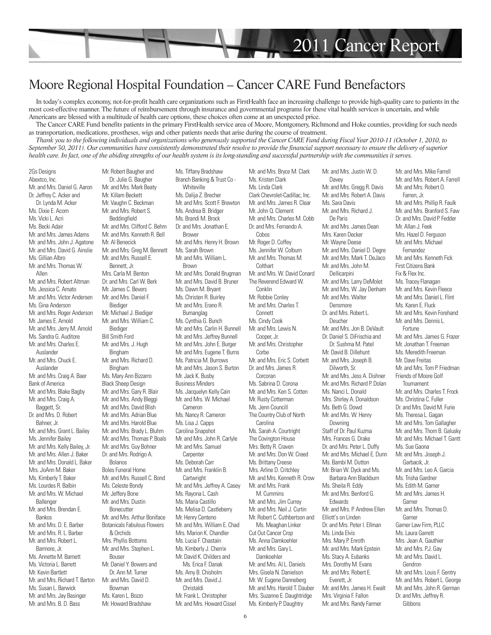

## Moore Regional Hospital Foundation – Cancer CARE Fund Benefactors

In today's complex economy, not-for-profit health care organizations such as FirstHealth face an increasing challenge to provide high-quality care to patients in the most cost-effective manner. The future of reimbursement through insurance and governmental programs for these vital health services is uncertain, and while Americans are blessed with a multitude of health care options, these choices often come at an unexpected price.

The Cancer CARE Fund benefits patients in the primary FirstHealth service area of Moore, Montgomery, Richmond and Hoke counties, providing for such needs as transportation, medications, prostheses, wigs and other patients needs that arise during the course of treatment.

*Thank you to the following individuals and organizations who generously supported the Cancer CARE Fund during Fiscal Year 2010-11 (October 1, 2010, to September 30, 2011). Our communities have consistently demonstrated their resolve to provide the financial support necessary to ensure the delivery of superior health care. In fact, one of the abiding strengths of our health system is its long-standing and successful partnership with the communities it serves.*

2Gs Designs Abextco, Inc. Mr. and Mrs. Daniel G. Aaron Dr. Jeffrey C. Acker and Dr. Lynda M. Acker Ms. Dixie E. Acorn Ms. Vicki L. Acri Ms. Becki Adair Mr. and Mrs. James Adams Mr. and Mrs. John J. Agatone Mr. and Mrs. David G. Ainslie Ms. Gillian Albro Mr. and Mrs. Thomas W. Allen Mr. and Mrs. Robert Altman Ms. Jessica C. Amato Mr. and Mrs. Victor Andersen Ms. Gina Anderson Mr. and Mrs. Roger Anderson Mr. James E. Arnold Mr. and Mrs. Jerry M. Arnold Ms. Sandra G. Auditore Mr. and Mrs. Charles E. Auslander Mr. and Mrs. Chuck E. Auslander Mr. and Mrs. Craig A. Baer Bank of America Mr. and Mrs. Blake Bagby Mr. and Mrs. Craig A. Baggett, Sr. Dr. and Mrs. D. Robert Bahner, Jr. Mr. and Mrs. Grant L. Bailey Ms. Jennifer Bailey Mr. and Mrs. Kelly Bailey, Jr. Mr. and Mrs. Allen J. Baker Mr. and Mrs. Donald L. Baker Mrs. JoAnn M. Baker Ms. Kimberly T. Baker Ms. Lourdes R. Balbin Mr. and Mrs. W. Michael Ballenger Mr. and Mrs. Brendan E. Bankos Mr. and Mrs. D. E. Barber Mr. and Mrs. R. L. Barber Mr. and Mrs. Robert L. Barmore, Jr. Ms. Annette M. Barnett Ms. Victoria L. Barrett Mr. Kevin Bartlett Mr. and Mrs. Richard T. Barton Ms. Susan L. Barwick Mr. and Mrs. Jay Basinger Mr. and Mrs. B. D. Bass

Mr. Robert Baugher and Dr. Julie G. Baugher Mr. and Mrs. Mark Beaty Mr. Killam Beckett Mr. Vaughn C. Beckman Mr. and Mrs. Robert S. Beddingfield Mr. and Mrs. Clifford C. Behm Mr. and Mrs. Kenneth R. Bell Mr. Al Benecick Mr. and Mrs. Greg M. Bennett Mr. and Mrs. Russell E. Bennett, Jr. Mrs. Carla M. Benton Dr. and Mrs. Carl W. Berk Mr. James C. Bevers Mr. and Mrs. Daniel F. Biediger Mr. Michael J. Biediger Mr. and Mrs. William C. Biediger Bill Smith Ford Mr. and Mrs. J. Hugh Bingham Mr. and Mrs. Richard D. Bingham Ms. Mary Ann Bizzarro Black Sheep Design Mr. and Mrs. Gary R. Blair Mr. and Mrs. Andy Bleggi Mr. and Mrs. David Blish Mr. and Mrs. Adrian Blue Mr. and Mrs. Harold Blue Mr. and Mrs. Brady L. Bluhm Mr. and Mrs. Thomas P. Boals Mr. and Mrs. Guy Bohner Dr. and Mrs. Rodrigo A. **Bolanos** Boles Funeral Home Mr. and Mrs. Russell C. Bond Ms. Celeste Bondy Mr. Jeffery Bone Mr. and Mrs. Dustin **Bonecutter** Mr. and Mrs. Arthur Boniface Botanicals Fabulous Flowers & Orchids Mrs. Phyllis Bottoms Mr. and Mrs. Stephen L. Bouser Mr. Daniel Y. Bowers and Dr. Ann M. Turner Mr. and Mrs. David D. Bowman Ms. Karen L. Bozzo Mr. Howard Bradshaw

Ms. Tiffany Bradshaw Branch Banking & Trust Co - **Whiteville** Ms. Dalija Z. Brecher Mr. and Mrs. Scott F. Brewton Ms. Andrea B. Bridger Ms. Brandi M. Brock Dr. and Mrs. Jonathan E. Brower Mr. and Mrs. Henry H. Brown Ms. Sarah Brown Mr. and Mrs. William L. **Brown** Mr. and Mrs. Donald Brugman Mr. and Mrs. David B. Bruner Ms. Dawn M. Bryant Ms. Christen R. Buirley Mr. and Mrs. Erano R. Bumanglag Ms. Cynthia G. Bunch Mr. and Mrs. Carlin H. Bunnell Mr. and Mrs. Jeffrey Bunnell Mr. and Mrs. John E. Burger Mr. and Mrs. Eugene T. Burns Ms. Patricia M. Burrows Mr. and Mrs. Jason S. Burton Mr. Jack K. Busby Business Minders Ms. Jacquelyn Kelly Cain Mr. and Mrs. W. Michael Cameron Ms. Nancy R. Cameron Ms. Lisa J. Capps Carolina Snapshot Mr. and Mrs. John R. Carlyle Mr. and Mrs. Samuel Carnenter Ms. Deborah Carr Mr. and Mrs. Franklin B. **Cartwright** Mr. and Mrs. Jeffrey A. Casey Ms. Rayona L. Cash Ms. Maria Castillo Ms. Melisa D. Castleberry Mr. Henry Centeno Mr. and Mrs. William E. Chad Mrs. Marion K. Chandler Ms. Lucia F. Chastain Ms. Kimberly J. Cherrix Mr. David K. Childers and Ms. Erica F. Danak Ms. Amy B. Chisholm Mr. and Mrs. David J. Christaldi Mr. Frank L. Christopher Mr. and Mrs. Howard Cissel

Mr. and Mrs. Bryce M. Clark Ms. Kristen Clark Ms. Linda Clark Clark Chevrolet-Cadillac, Inc. Mr. and Mrs. James R. Clear Mr. John O. Clement Mr. and Mrs. Charles M. Cobb Dr. and Mrs. Fernando A. Cobos Mr. Roger D. Coffey Ms. Jennifer W. Colburn Mr. and Mrs. Thomas M. **Colthart** Mr. and Mrs. W. David Conard The Reverend Edward W. Conklin Mr. Robbie Conley Mr. and Mrs. Charles T. Connett Ms. Cindy Cook Mr. and Mrs. Lewis N. Cooper, Jr. Mr. and Mrs. Christopher **Corbe** Mr. and Mrs. Eric S. Corbett Dr. and Mrs. James R. Corcoran Ms. Sabrina D. Corona Mr. and Mrs. Ken S. Cotten Mr. Rusty Cotterman Ms. Jenn Councill The Country Club of North **Carolina** Ms. Sarah A. Courtright The Covington House Mrs. Betty R. Craven Mr. and Mrs. Don W. Creed Ms. Brittany Creese Mrs. Arline D. Critchley Mr. and Mrs. Kenneth R. Crow Mr. and Mrs. Frank M. Cummins Mr. and Mrs. Jim Currey Mr. and Mrs. Neil J. Curtin Mr. Robert C. Cuthbertson and Ms. Meaghan Linker Cut Out Cancer Crop Ms. Anna Damkoehler Mr. and Mrs. Gary L. Damkoehler Mr. and Mrs. Al L. Daniels Mrs. Gisela N. Danielson Mr. W. Eugene Danneberg Mr. and Mrs. Harold T. Dauber Mrs. Suzanne E. Daughtridge Ms. Kimberly P. Daughtry

Mr. and Mrs. Justin W. D. **Davey** Mr. and Mrs. Gregg R. Davis Mr. and Mrs. Robert A. Davis Ms. Sara Davis Mr. and Mrs. Richard J. De Paris Mr. and Mrs. James Dean Mrs. Karen Decker Mr. Wayne Deese Mr. and Mrs. Daniel D. Degre Mr. and Mrs. Mark T. DeJaco Mr. and Mrs. John M. Dellicarpini Mr. and Mrs. Larry DeMolet Mr. and Mrs. W. Jay Denham Mr. and Mrs. Walter **Densmore** Dr. and Mrs. Robert L. Deucher Mr. and Mrs. Jon B. DeVault Dr. Daniel S. DiFrischia and Dr. Sushma M. Patel Mr. David B. Dillehunt Mr. and Mrs. Joseph B. Dilworth, Sr. Mr. and Mrs. Jess A. Dishner Mr. and Mrs. Richard P. Dolan Ms. Nanci L. Donald Mrs. Shirley A. Donaldson Ms. Beth G. Dowd Mr. and Mrs. W. Henry Downing Staff of Dr. Paul Kuzma Mrs. Frances G. Drake Dr. and Mrs. Peter L. Duffy Mr. and Mrs. Michael E. Dunn Ms. Bambi M. Dutton Mr. Brian W. Dyck and Ms. Barbara Ann Blackburn Ms. Sheila R. Eddy Mr. and Mrs. Benford G. Edwards Mr. and Mrs. P. Andrew Ellen Elliott's on Linden Dr. and Mrs. Peter I. Ellman Ms. Linda Elvis Mrs. Mary P. Enroth Mr. and Mrs. Mark Epstein Ms. Stacy A. Eubanks Mrs. Dorothy M. Evans Mr. and Mrs. Robert E. Everett, Jr. Mr. and Mrs. James H. Ewalt Mrs. Virginia F. Fallon Mr. and Mrs. Randy Farmer

Mr. and Mrs. Mike Farrell Mr. and Mrs. Robert A. Farrell Mr. and Mrs. Robert O. Farren, Jr. Mr. and Mrs. Phillip R. Faulk Mr. and Mrs. Branford S. Faw Dr. and Mrs. David P. Fedder Mr. Allan J. Feek Mrs. Hazel D. Ferguson Mr. and Mrs. Michael Fernandez Mr. and Mrs. Kenneth Fick First Citizens Bank Fix & Flex Inc. Ms. Tracey Flanagan Mr. and Mrs. Kevin Fleece Mr. and Mrs. Daniel L. Flint Ms. Karen E. Fluck Mr. and Mrs. Kevin Forehand Mr. and Mrs. Dennis L. Fortune Mr. and Mrs. James G. Frazer Mr. Jonathan T. Freeman Ms. Meredith Freeman Mr. Dave Freitas Mr. and Mrs. Tom P. Friedman Friends of Moore Golf **Tournament** Mr. and Mrs. Charles T. Frock Ms. Christina C. Fuller Dr. and Mrs. David M. Furie Ms. Theresa L. Gagan Mr. and Mrs. Tom Gallagher Mr. and Mrs. Thom B. Galusky Mr. and Mrs. Michael T. Gantt Ms. Sue Gaona Mr. and Mrs. Joseph J. Garbacik, Jr. Mr. and Mrs. Leo A. Garcia Ms. Trisha Gardner Ms. Edith M. Garner Mr. and Mrs. James H. Garner Mr. and Mrs. Thomas D. Garner Garner Law Firm, PLLC Ms. Laura Garrett Mrs. Jean A. Gauthier Mr. and Mrs. P.J. Gay Mr. and Mrs. David L. Gendron Mr. and Mrs. Louis F. Gentry Mr. and Mrs. Robert L. George Mr. and Mrs. John R. German Dr. and Mrs. Jeffrey R. Gibbons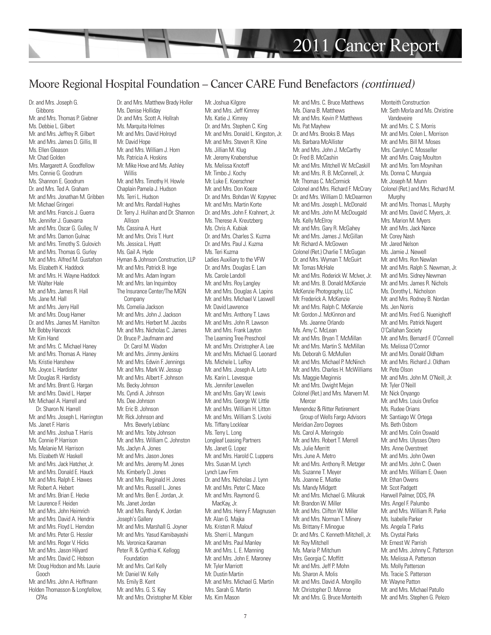

## Moore Regional Hospital Foundation – Cancer CARE Fund Benefactors *(continued)*

Dr. and Mrs. Joseph G. Gibbons Mr. and Mrs. Thomas P. Giebner Ms. Debbie L. Gilbert Mr. and Mrs. Jeffrey R. Gilbert Mr. and Mrs. James D. Gillis, III Ms. Ellen Gleason Mr. Chad Golden Mrs. Margarett A. Goodfellow Mrs. Connie G. Goodrum Ms. Shannon E. Goodrum Dr. and Mrs. Ted A. Graham Mr. and Mrs. Jonathan M. Gribben Mr. Michael Gringeri Mr. and Mrs. Francis J. Guerra Ms. Jennifer J. Guevarra Mr. and Mrs. Oscar G. Gulley, IV Mr. and Mrs. Damon Gulnac Mr. and Mrs. Timothy S. Gulovich Mr. and Mrs. Thomas G. Gurley Mr. and Mrs. Alfred M. Gustafson Ms. Elizabeth K. Haddock Mr. and Mrs. H. Wayne Haddock Mr. Walter Hale Mr. and Mrs. James R. Hall Ms. Jane M. Hall Mr. and Mrs. Jerry Hall Mr. and Mrs. Doug Hamer Dr. and Mrs. James M. Hamilton Mr. Bobby Hancock Mr. Kim Hand Mr. and Mrs. C. Michael Haney Mr. and Mrs. Thomas A. Haney Ms. Kristie Hanshew Ms. Joyce L. Hardister Mr. Douglas R. Hardisty Mr. and Mrs. Brent G. Hargan Mr. and Mrs. David L. Harper Mr. Michael A. Harrell and Dr. Sharon N. Harrell Mr. and Mrs. Joseph L. Harrington Ms. Janet F. Harris Mr. and Mrs. Joshua T. Harris Ms. Connie P. Harrison Ms. Melanie M. Harrison Ms. Elizabeth W. Haskell Mr. and Mrs. Jack Hatcher, Jr. Mr. and Mrs. Donald E. Hauck Mr. and Mrs. Ralph E. Hawes Mr. Robert A. Hebert Mr. and Mrs. Brian E. Hecke Mr. Laurence F. Heiden Mr. and Mrs. John Heimrich Mr. and Mrs. David A. Hendrix Mr. and Mrs. Floyd L. Herndon Mr. and Mrs. Peter G. Hessler Mr. and Mrs. Roger V. Hicks Mr. and Mrs. Jason Hilyard Mr. and Mrs. David C. Hobson Mr. Doug Hodson and Ms. Laurie Gooch Mr. and Mrs. John A. Hoffmann Holden Thomasson & Longfellow, CPAs

Dr. and Mrs. Matthew Brady Holler Ms. Denise Holliday Dr. and Mrs. Scott A. Hollrah Ms. Marquita Holmes Mr. and Mrs. David Holroyd Mr. David Hope Mr. and Mrs. William J. Horn Ms. Patricia A. Hoskins Mr. Mike Hove and Ms. Ashley Willis Mr. and Mrs. Timothy H. Howle Chaplain Pamela J. Hudson Ms. Terri L. Hudson Mr. and Mrs. Randall Hughes Dr. Terry J. Hulihan and Dr. Shannon Allison Ms. Cassina A. Hunt Mr. and Mrs. Chris T. Hunt Ms. Jessica L. Hyatt Ms. Gail A. Hyde Hyman & Johnson Construction, LLP Mr. and Mrs. Patrick B. Inge Mr. and Mrs. Adam Ingram Mr. and Mrs. Ian Inquimboy The Insurance Center/The MGN Company Ms. Cornelia Jackson Mr. and Mrs. John J. Jackson Mr. and Mrs. Herbert M. Jacobs Mr. and Mrs. Nicholas C. James Dr. Bruce P. Jaufmann and Dr. Carol M. Wadon Mr. and Mrs. Jimmy Jenkins Mr. and Mrs. Edwin F. Jennings Mr. and Mrs. Mark W. Jessup Mr. and Mrs. Albert F. Johnson Ms. Becky Johnson Ms. Cyndi A. Johnson Ms. Dee Johnson Mr. Eric B. Johnson Mr. Rick Johnson and Mrs. Beverly Leblanc Mr. and Mrs. Toby Johnson Mr. and Mrs. William C. Johnston Ms. Jaclyn A. Jones Mr. and Mrs. Jason Jones Mr. and Mrs. Jeremy M. Jones Ms. Kimberly D. Jones Mr. and Mrs. Reginald H. Jones Mr. and Mrs. Russell L. Jones Mr. and Mrs. Ben E. Jordan, Jr. Ms. Janet Jordan Mr. and Mrs. Randy K. Jordan Joseph's Gallery Mr. and Mrs. Marshall G. Joyner Mr. and Mrs. Yasud Kamibayashi Ms. Veronica Karaman Peter R. & Cynthia K. Kellogg Foundation Mr. and Mrs. Carl Kelly Mr. Daniel W. Kelly Ms. Emily B. Kent Mr. and Mrs. G. S. Key Mr. and Mrs. Christopher M. Kibler

Mr. Joshua Kilgore Mr. and Mrs. Jeff Kimrey Ms. Katie J. Kimrey Dr. and Mrs. Stephen C. King Mr. and Mrs. Donald L. Kingston, Jr. Mr. and Mrs. Steven R. Kline Ms. Jillian M. Klug Mr. Jeremy Knabenshue Ms. Melissa Knotoff Mr. Timbo J. Kochy Mr. Luke E. Koerschner Mr. and Mrs. Don Koeze Dr. and Mrs. Bohdan W. Kopynec Mr. and Mrs. Martin Korte Dr. and Mrs. John F. Krahnert, Jr. Ms. Therese A. Kreutzberg Ms. Chris A. Kubiak Dr. and Mrs. Charles S. Kuzma Dr. and Mrs. Paul J. Kuzma Ms. Teri Kuzma Ladies Auxiliary to the VFW Dr. and Mrs. Douglas E. Lam Ms. Carole Landoll Mr. and Mrs. Roy Langley Mr. and Mrs. Douglas A. Lapins Mr. and Mrs. Michael V. Laswell Mr. David Lawrence Mr. and Mrs. Anthony T. Laws Mr. and Mrs. John R. Lawson Mr. and Mrs. Frank Layton The Learning Tree Preschool Mr. and Mrs. Christopher A. Lee Mr. and Mrs. Michael G. Leonard Ms. Michele L. LeRoy Mr. and Mrs. Joseph A. Leto Ms. Karin L. Levesque Ms. Jennifer Lewellen Mr. and Mrs. Gary W. Lewis Mr. and Mrs. George W. Little Mr. and Mrs. William H. Litton Mr. and Mrs. William S. Livolsi Ms. Tiffany Locklear Ms. Terry L. Long Longleaf Leasing Partners Ms. Janet G. Lopez Mr. and Mrs. Harold C. Luppens Mrs. Susan M. Lynch Lynch Law Firm Dr. and Mrs. Nicholas J. Lynn Mr. and Mrs. Peter C. Mace Mr. and Mrs. Raymond G. MacKay, Jr. Mr. and Mrs. Henry F. Magnusen Mr. Alan G. Majka Ms. Kristen R. Malouf Ms. Sherri L. Mangum Mr. and Mrs. Paul Manley Mr. and Mrs. L. E. Manning Mr. and Mrs. John E. Maroney Mr. Tyler Marriott Mr. Dustin Martin Mr. and Mrs. Michael G. Martin Mrs. Sarah G. Martin Ms. Kim Mason

Mr. and Mrs. C. Bruce Matthews Ms. Diana B. Matthews Mr. and Mrs. Kevin P. Matthews Ms. Pat Mayhew Dr. and Mrs. Brooks B. Mays Ms. Barbara McAllister Mr. and Mrs. John J. McCarthy Dr. Fred B. McCashin Mr. and Mrs. Mitchell W. McCaskill Mr. and Mrs. R. B. McConnell, Jr. Mr. Thomas C. McCormick Colonel and Mrs. Richard F. McCrary Dr. and Mrs. William D. McDearmon Mr. and Mrs. Joseph L. McDonald Mr. and Mrs. John M. McDougald Ms. Kelly McElroy Mr. and Mrs. Gary R. McGahey Mr. and Mrs. James J. McGillan Mr. Richard A. McGowen Colonel (Ret.) Charlie T. McGugan Dr. and Mrs. Wyman T. McGuirt Mr. Tomas McHale Mr. and Mrs. Roderick W. McIver, Jr. Mr. and Mrs. B. Donald McKenzie McKenzie Photography, LLC Mr. Frederick A. McKenzie Mr. and Mrs. Ralph C. McKenzie Mr. Gordon J. McKinnon and Ms. Jeanne Orlando Ms. Amy C. McLean Mr. and Mrs. Bryan T. McMillan Mr. and Mrs. Martin S. McMillan Ms. Deborah G. McMullen Mr. and Mrs. Michael P. McNinch Mr. and Mrs. Charles H. McWilliams Ms. Maggie Meginnis Mr. and Mrs. Dwight Mejan Colonel (Ret.) and Mrs. Marvern M. **Mercer** Menendez & Ritter Retirement Group of Wells Fargo Advisors Meridian Zero Degrees Ms. Carol A. Meringolo Mr. and Mrs. Robert T. Merrell Ms. Julie Merritt Mrs. June A. Metro Mr. and Mrs. Anthony R. Metzger Ms. Suzanne T. Meyer Ms. Joanne E. Miatke Ms. Mandy Midgett Mr. and Mrs. Michael G. Mikurak Mr. Brandon W. Miller Mr. and Mrs. Clifton W. Miller Mr. and Mrs. Norman T. Minery Ms. Brittany F. Minogue Dr. and Mrs. C. Kenneth Mitchell, Jr. Mr. Roy Mitchell Ms. Maria P. Mitchum Mrs. Georgia C. Moffitt Mr. and Mrs. Jeff P. Mohn Ms. Sharon A. Molis Mr. and Mrs. David A. Mongillo Mr. Christopher D. Monroe Mr. and Mrs. G. Bruce Monteith

Monteith Construction Mr. Seth Morla and Ms. Christine Vandeveire Mr. and Mrs. C. S. Morris Mr. and Mrs. Colen L. Morrison Mr. and Mrs. Bill M. Moses Mrs. Carolyn C. Mosseller Mr. and Mrs. Craig Moulton Mr. and Mrs. Tom Moynihan Ms. Donna C. Munguia Mr. Joseph M. Munn Colonel (Ret.) and Mrs. Richard M. Murnhy Mr. and Mrs. Thomas L. Murphy Mr. and Mrs. David C. Myers, Jr. Mrs. Marion M. Myers Mr. and Mrs. Jack Nance Mr. Corey Nash Mr. Jared Nelson Ms. Jamie J. Newell Mr. and Mrs. Ron Newlan Mr. and Mrs. Ralph S. Newman, Jr. Mr. and Mrs. Sidney Newman Mr. and Mrs. James R. Nichols Ms. Dorothy L. Nicholson Mr. and Mrs. Rodney B. Nordan Ms. Jen Norris Mr. and Mrs. Fred G. Nuenighoff Mr. and Mrs. Patrick Nugent O'Callahan Society Mr. and Mrs. Bernard F. O'Connell Ms. Melissa O'Connor Mr. and Mrs. Donald Oldham Mr. and Mrs. Richard J. Oldham Mr. Pete Olson Mr. and Mrs. John M. O'Neill, Jr. Mr. Tyler O'Neill Mr. Nick Onyango Mr. and Mrs. Louis Orefice Ms. Rudee Orians Mr. Santiago W. Ortega Ms. Beth Osborn Mr. and Mrs. Colin Oswald Mr. and Mrs. Ulysses Otero Mrs. Anne Overstreet Mr. and Mrs. John Owen Mr. and Mrs. John C. Owen Mr. and Mrs. William E. Owen Mr. Ethan Owens Mr. Scot Padgett Harwell Palmer, DDS, PA Mrs. Angel F. Palumbo Mr. and Mrs. William R. Parke Ms. Isabelle Parker Ms. Angela T. Parks Ms. Crystal Parks Mr. Ernest W. Parrish Mr. and Mrs. Johnny C. Patterson Ms. Melissa A. Patterson Ms. Molly Patterson Ms. Tracie S. Patterson Mr. Wayne Patton Mr. and Mrs. Michael Patullo Mr. and Mrs. Stephen G. Pelezo